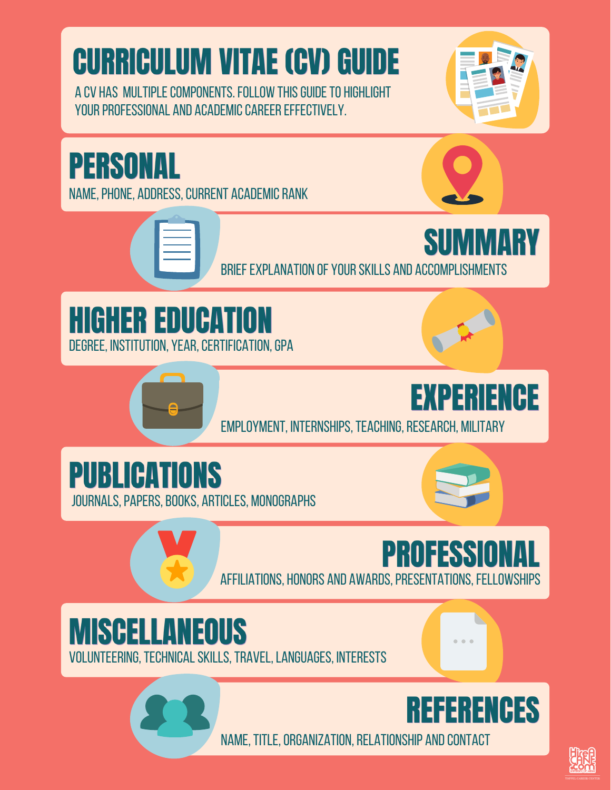# **CURRICULUM VITAE (CV) GUIDE**

a cv has multiplecomponents.follow thisguideto highlight YOUR PROFESSIONAL AND ACADEMIC CAREER EFFECTIVELY.





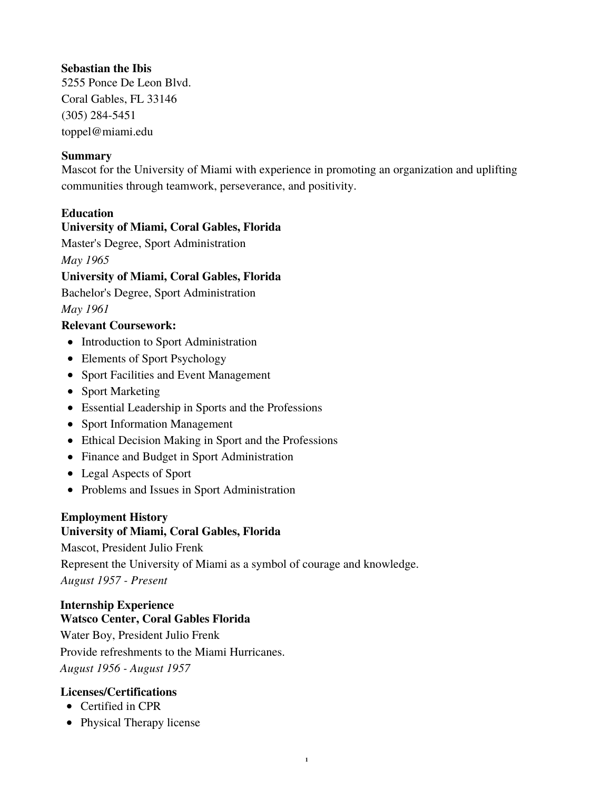# **Sebastian the Ibis**

5255 Ponce De Leon Blvd. Coral Gables, FL 33146 (305) 284-5451 toppel@miami.edu

## **Summary**

Mascot for the University of Miami with experience in promoting an organization and uplifting communities through teamwork, perseverance, and positivity.

# **Education**

## **University of Miami, Coral Gables, Florida**

Master's Degree, Sport Administration *May 1965*

## **University of Miami, Coral Gables, Florida**

Bachelor's Degree, Sport Administration

*May 1961*

# **Relevant Coursework:**

- Introduction to Sport Administration
- Elements of Sport Psychology
- Sport Facilities and Event Management
- Sport Marketing
- Essential Leadership in Sports and the Professions
- Sport Information Management
- Ethical Decision Making in Sport and the Professions
- Finance and Budget in Sport Administration
- Legal Aspects of Sport
- Problems and Issues in Sport Administration

## **Employment History**

## **University of Miami, Coral Gables, Florida**

Mascot, President Julio Frenk Represent the University of Miami as a symbol of courage and knowledge. *August 1957 - Present*

**1**

## **Internship Experience Watsco Center, Coral Gables Florida**

Water Boy, President Julio Frenk Provide refreshments to the Miami Hurricanes. *August 1956 - August 1957*

# **Licenses/Certifications**

- Certified in CPR
- Physical Therapy license